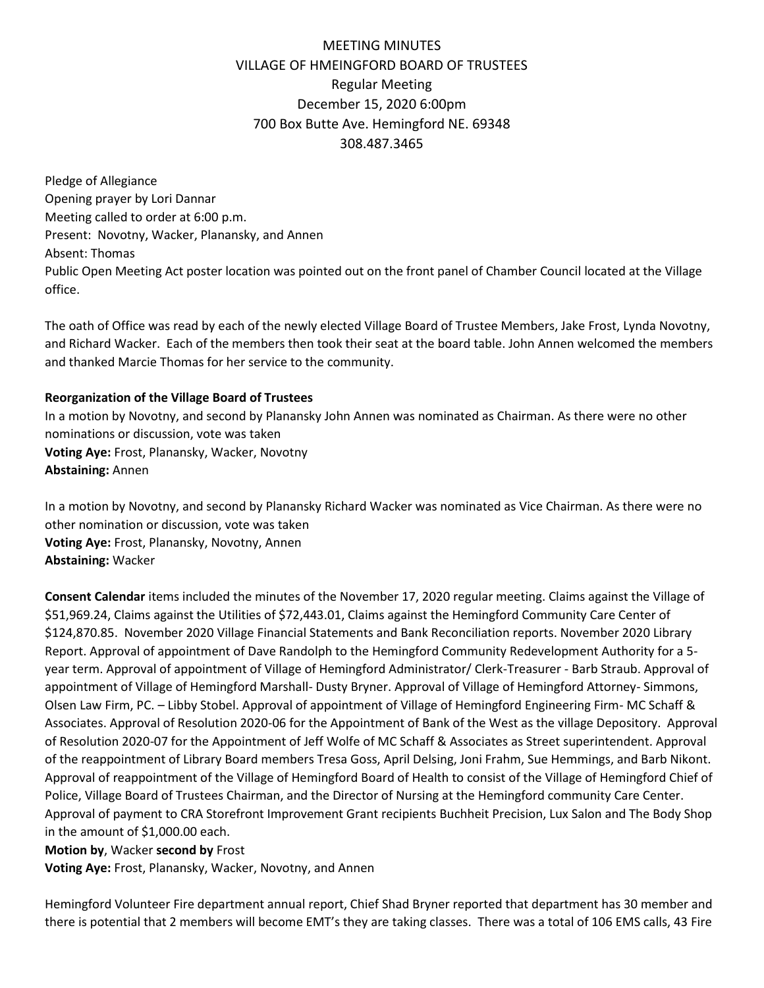## MEETING MINUTES VILLAGE OF HMEINGFORD BOARD OF TRUSTEES Regular Meeting December 15, 2020 6:00pm 700 Box Butte Ave. Hemingford NE. 69348 308.487.3465

Pledge of Allegiance Opening prayer by Lori Dannar Meeting called to order at 6:00 p.m. Present: Novotny, Wacker, Planansky, and Annen Absent: Thomas Public Open Meeting Act poster location was pointed out on the front panel of Chamber Council located at the Village office.

The oath of Office was read by each of the newly elected Village Board of Trustee Members, Jake Frost, Lynda Novotny, and Richard Wacker. Each of the members then took their seat at the board table. John Annen welcomed the members and thanked Marcie Thomas for her service to the community.

## **Reorganization of the Village Board of Trustees**

In a motion by Novotny, and second by Planansky John Annen was nominated as Chairman. As there were no other nominations or discussion, vote was taken **Voting Aye:** Frost, Planansky, Wacker, Novotny **Abstaining:** Annen

In a motion by Novotny, and second by Planansky Richard Wacker was nominated as Vice Chairman. As there were no other nomination or discussion, vote was taken **Voting Aye:** Frost, Planansky, Novotny, Annen **Abstaining:** Wacker

**Consent Calendar** items included the minutes of the November 17, 2020 regular meeting. Claims against the Village of \$51,969.24, Claims against the Utilities of \$72,443.01, Claims against the Hemingford Community Care Center of \$124,870.85. November 2020 Village Financial Statements and Bank Reconciliation reports. November 2020 Library Report. Approval of appointment of Dave Randolph to the Hemingford Community Redevelopment Authority for a 5 year term. Approval of appointment of Village of Hemingford Administrator/ Clerk-Treasurer - Barb Straub. Approval of appointment of Village of Hemingford Marshall- Dusty Bryner. Approval of Village of Hemingford Attorney- Simmons, Olsen Law Firm, PC. – Libby Stobel. Approval of appointment of Village of Hemingford Engineering Firm- MC Schaff & Associates. Approval of Resolution 2020-06 for the Appointment of Bank of the West as the village Depository. Approval of Resolution 2020-07 for the Appointment of Jeff Wolfe of MC Schaff & Associates as Street superintendent. Approval of the reappointment of Library Board members Tresa Goss, April Delsing, Joni Frahm, Sue Hemmings, and Barb Nikont. Approval of reappointment of the Village of Hemingford Board of Health to consist of the Village of Hemingford Chief of Police, Village Board of Trustees Chairman, and the Director of Nursing at the Hemingford community Care Center. Approval of payment to CRA Storefront Improvement Grant recipients Buchheit Precision, Lux Salon and The Body Shop in the amount of \$1,000.00 each.

## **Motion by**, Wacker **second by** Frost

**Voting Aye:** Frost, Planansky, Wacker, Novotny, and Annen

Hemingford Volunteer Fire department annual report, Chief Shad Bryner reported that department has 30 member and there is potential that 2 members will become EMT's they are taking classes. There was a total of 106 EMS calls, 43 Fire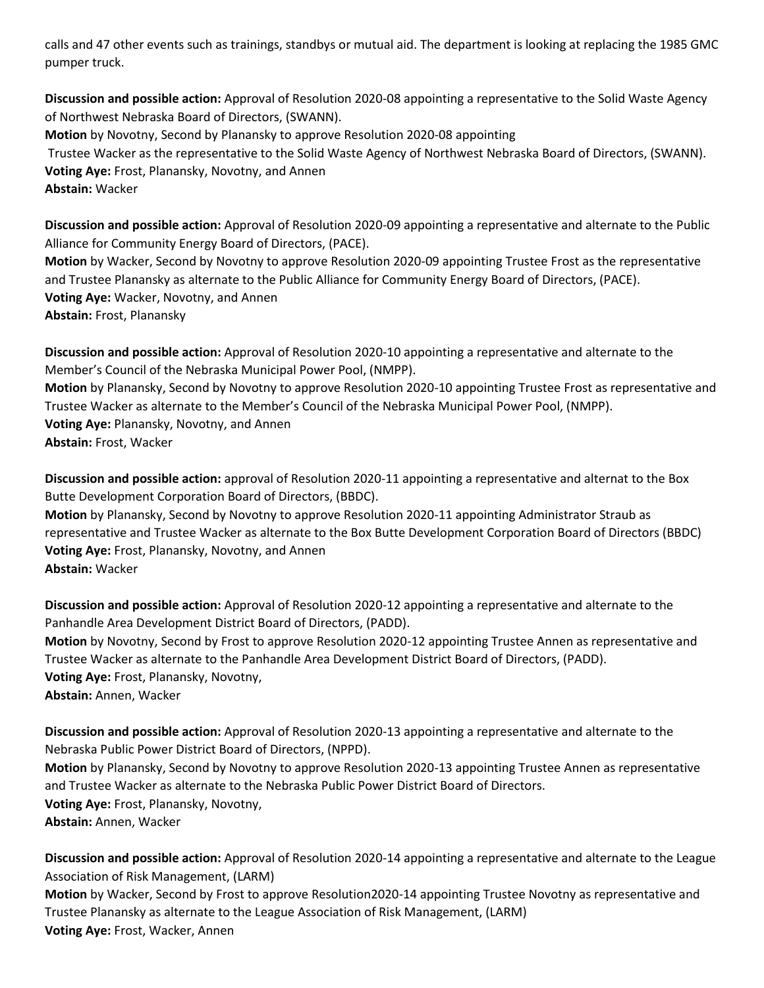calls and 47 other events such as trainings, standbys or mutual aid. The department is looking at replacing the 1985 GMC pumper truck.

**Discussion and possible action:** Approval of Resolution 2020-08 appointing a representative to the Solid Waste Agency of Northwest Nebraska Board of Directors, (SWANN). **Motion** by Novotny, Second by Planansky to approve Resolution 2020-08 appointing Trustee Wacker as the representative to the Solid Waste Agency of Northwest Nebraska Board of Directors, (SWANN). **Voting Aye:** Frost, Planansky, Novotny, and Annen **Abstain:** Wacker

**Discussion and possible action:** Approval of Resolution 2020-09 appointing a representative and alternate to the Public Alliance for Community Energy Board of Directors, (PACE).

**Motion** by Wacker, Second by Novotny to approve Resolution 2020-09 appointing Trustee Frost as the representative and Trustee Planansky as alternate to the Public Alliance for Community Energy Board of Directors, (PACE). **Voting Aye:** Wacker, Novotny, and Annen **Abstain:** Frost, Planansky

**Discussion and possible action:** Approval of Resolution 2020-10 appointing a representative and alternate to the Member's Council of the Nebraska Municipal Power Pool, (NMPP). **Motion** by Planansky, Second by Novotny to approve Resolution 2020-10 appointing Trustee Frost as representative and Trustee Wacker as alternate to the Member's Council of the Nebraska Municipal Power Pool, (NMPP).

**Voting Aye:** Planansky, Novotny, and Annen

**Abstain:** Frost, Wacker

**Discussion and possible action:** approval of Resolution 2020-11 appointing a representative and alternat to the Box Butte Development Corporation Board of Directors, (BBDC).

**Motion** by Planansky, Second by Novotny to approve Resolution 2020-11 appointing Administrator Straub as representative and Trustee Wacker as alternate to the Box Butte Development Corporation Board of Directors (BBDC) **Voting Aye:** Frost, Planansky, Novotny, and Annen **Abstain:** Wacker

**Discussion and possible action:** Approval of Resolution 2020-12 appointing a representative and alternate to the Panhandle Area Development District Board of Directors, (PADD).

**Motion** by Novotny, Second by Frost to approve Resolution 2020-12 appointing Trustee Annen as representative and Trustee Wacker as alternate to the Panhandle Area Development District Board of Directors, (PADD). **Voting Aye:** Frost, Planansky, Novotny,

**Abstain:** Annen, Wacker

**Discussion and possible action:** Approval of Resolution 2020-13 appointing a representative and alternate to the Nebraska Public Power District Board of Directors, (NPPD).

**Motion** by Planansky, Second by Novotny to approve Resolution 2020-13 appointing Trustee Annen as representative and Trustee Wacker as alternate to the Nebraska Public Power District Board of Directors. **Voting Aye:** Frost, Planansky, Novotny,

**Abstain:** Annen, Wacker

**Discussion and possible action:** Approval of Resolution 2020-14 appointing a representative and alternate to the League Association of Risk Management, (LARM)

**Motion** by Wacker, Second by Frost to approve Resolution2020-14 appointing Trustee Novotny as representative and Trustee Planansky as alternate to the League Association of Risk Management, (LARM) **Voting Aye:** Frost, Wacker, Annen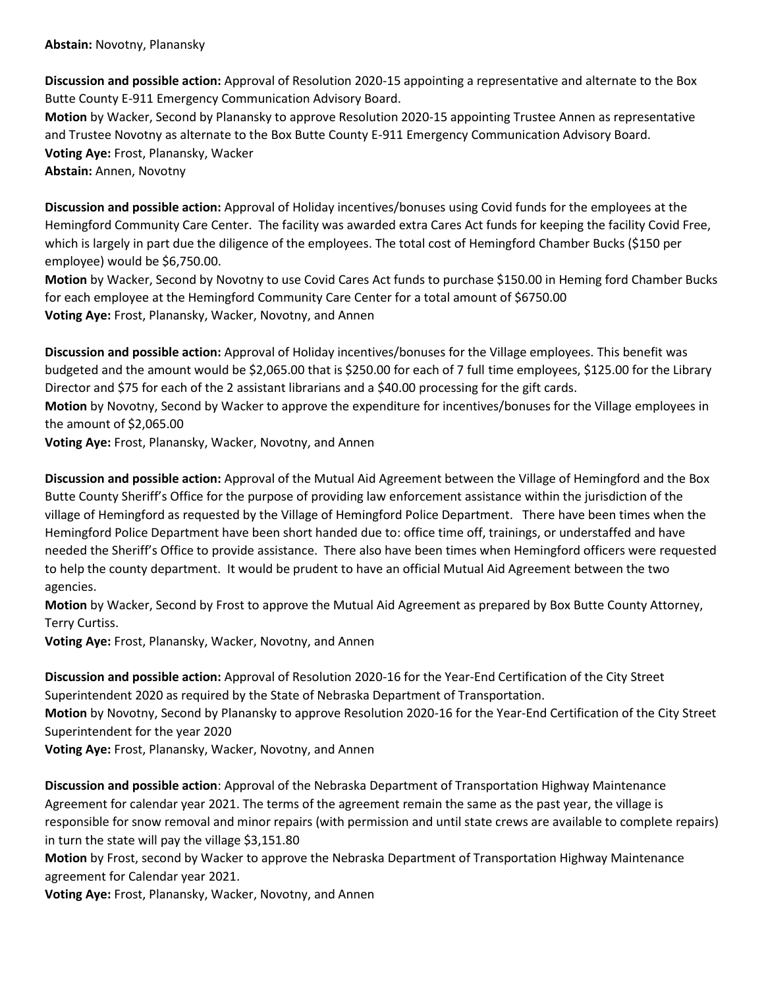**Discussion and possible action:** Approval of Resolution 2020-15 appointing a representative and alternate to the Box Butte County E-911 Emergency Communication Advisory Board.

**Motion** by Wacker, Second by Planansky to approve Resolution 2020-15 appointing Trustee Annen as representative and Trustee Novotny as alternate to the Box Butte County E-911 Emergency Communication Advisory Board. **Voting Aye:** Frost, Planansky, Wacker **Abstain:** Annen, Novotny

**Discussion and possible action:** Approval of Holiday incentives/bonuses using Covid funds for the employees at the Hemingford Community Care Center. The facility was awarded extra Cares Act funds for keeping the facility Covid Free, which is largely in part due the diligence of the employees. The total cost of Hemingford Chamber Bucks (\$150 per employee) would be \$6,750.00.

**Motion** by Wacker, Second by Novotny to use Covid Cares Act funds to purchase \$150.00 in Heming ford Chamber Bucks for each employee at the Hemingford Community Care Center for a total amount of \$6750.00 **Voting Aye:** Frost, Planansky, Wacker, Novotny, and Annen

**Discussion and possible action:** Approval of Holiday incentives/bonuses for the Village employees. This benefit was budgeted and the amount would be \$2,065.00 that is \$250.00 for each of 7 full time employees, \$125.00 for the Library Director and \$75 for each of the 2 assistant librarians and a \$40.00 processing for the gift cards.

**Motion** by Novotny, Second by Wacker to approve the expenditure for incentives/bonuses for the Village employees in the amount of \$2,065.00

**Voting Aye:** Frost, Planansky, Wacker, Novotny, and Annen

**Discussion and possible action:** Approval of the Mutual Aid Agreement between the Village of Hemingford and the Box Butte County Sheriff's Office for the purpose of providing law enforcement assistance within the jurisdiction of the village of Hemingford as requested by the Village of Hemingford Police Department. There have been times when the Hemingford Police Department have been short handed due to: office time off, trainings, or understaffed and have needed the Sheriff's Office to provide assistance. There also have been times when Hemingford officers were requested to help the county department. It would be prudent to have an official Mutual Aid Agreement between the two agencies.

**Motion** by Wacker, Second by Frost to approve the Mutual Aid Agreement as prepared by Box Butte County Attorney, Terry Curtiss.

**Voting Aye:** Frost, Planansky, Wacker, Novotny, and Annen

**Discussion and possible action:** Approval of Resolution 2020-16 for the Year-End Certification of the City Street Superintendent 2020 as required by the State of Nebraska Department of Transportation.

**Motion** by Novotny, Second by Planansky to approve Resolution 2020-16 for the Year-End Certification of the City Street Superintendent for the year 2020

**Voting Aye:** Frost, Planansky, Wacker, Novotny, and Annen

**Discussion and possible action**: Approval of the Nebraska Department of Transportation Highway Maintenance Agreement for calendar year 2021. The terms of the agreement remain the same as the past year, the village is responsible for snow removal and minor repairs (with permission and until state crews are available to complete repairs) in turn the state will pay the village \$3,151.80

**Motion** by Frost, second by Wacker to approve the Nebraska Department of Transportation Highway Maintenance agreement for Calendar year 2021.

**Voting Aye:** Frost, Planansky, Wacker, Novotny, and Annen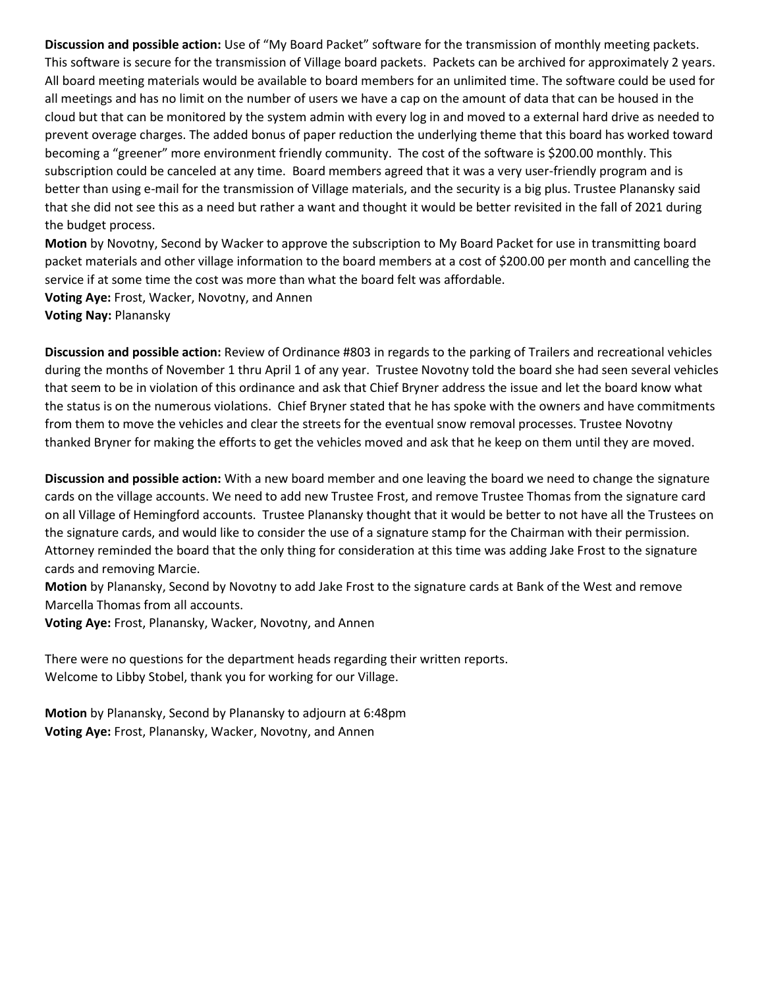**Discussion and possible action:** Use of "My Board Packet" software for the transmission of monthly meeting packets. This software is secure for the transmission of Village board packets. Packets can be archived for approximately 2 years. All board meeting materials would be available to board members for an unlimited time. The software could be used for all meetings and has no limit on the number of users we have a cap on the amount of data that can be housed in the cloud but that can be monitored by the system admin with every log in and moved to a external hard drive as needed to prevent overage charges. The added bonus of paper reduction the underlying theme that this board has worked toward becoming a "greener" more environment friendly community. The cost of the software is \$200.00 monthly. This subscription could be canceled at any time. Board members agreed that it was a very user-friendly program and is better than using e-mail for the transmission of Village materials, and the security is a big plus. Trustee Planansky said that she did not see this as a need but rather a want and thought it would be better revisited in the fall of 2021 during the budget process.

**Motion** by Novotny, Second by Wacker to approve the subscription to My Board Packet for use in transmitting board packet materials and other village information to the board members at a cost of \$200.00 per month and cancelling the service if at some time the cost was more than what the board felt was affordable.

**Voting Aye:** Frost, Wacker, Novotny, and Annen **Voting Nay:** Planansky

**Discussion and possible action:** Review of Ordinance #803 in regards to the parking of Trailers and recreational vehicles during the months of November 1 thru April 1 of any year. Trustee Novotny told the board she had seen several vehicles that seem to be in violation of this ordinance and ask that Chief Bryner address the issue and let the board know what the status is on the numerous violations. Chief Bryner stated that he has spoke with the owners and have commitments from them to move the vehicles and clear the streets for the eventual snow removal processes. Trustee Novotny thanked Bryner for making the efforts to get the vehicles moved and ask that he keep on them until they are moved.

**Discussion and possible action:** With a new board member and one leaving the board we need to change the signature cards on the village accounts. We need to add new Trustee Frost, and remove Trustee Thomas from the signature card on all Village of Hemingford accounts. Trustee Planansky thought that it would be better to not have all the Trustees on the signature cards, and would like to consider the use of a signature stamp for the Chairman with their permission. Attorney reminded the board that the only thing for consideration at this time was adding Jake Frost to the signature cards and removing Marcie.

**Motion** by Planansky, Second by Novotny to add Jake Frost to the signature cards at Bank of the West and remove Marcella Thomas from all accounts.

**Voting Aye:** Frost, Planansky, Wacker, Novotny, and Annen

There were no questions for the department heads regarding their written reports. Welcome to Libby Stobel, thank you for working for our Village.

**Motion** by Planansky, Second by Planansky to adjourn at 6:48pm **Voting Aye:** Frost, Planansky, Wacker, Novotny, and Annen